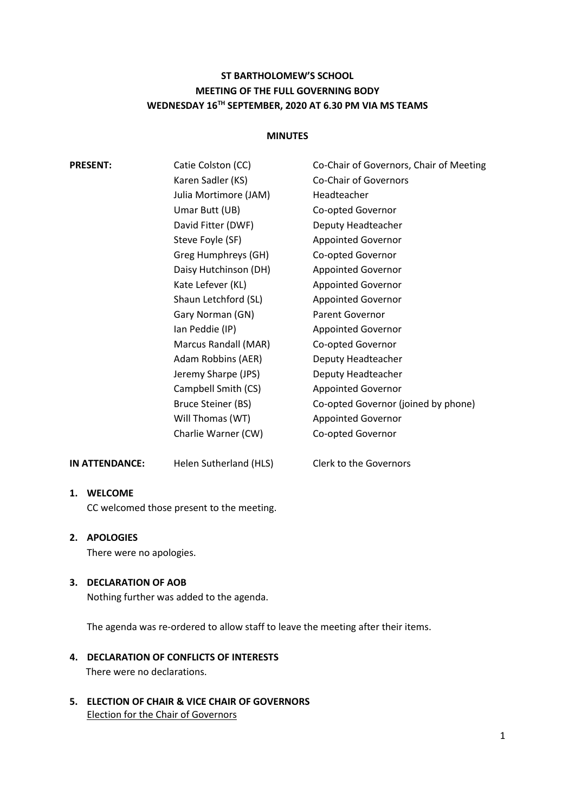# **ST BARTHOLOMEW'S SCHOOL MEETING OF THE FULL GOVERNING BODY WEDNESDAY 16TH SEPTEMBER, 2020 AT 6.30 PM VIA MS TEAMS**

## **MINUTES**

|    | <b>PRESENT:</b>                                                       | Catie Colston (CC)<br>Karen Sadler (KS)<br>Julia Mortimore (JAM)<br>Umar Butt (UB)<br>David Fitter (DWF)<br>Steve Foyle (SF)<br>Greg Humphreys (GH)<br>Daisy Hutchinson (DH)<br>Kate Lefever (KL)<br>Shaun Letchford (SL)<br>Gary Norman (GN)<br>Ian Peddie (IP)<br>Marcus Randall (MAR)<br>Adam Robbins (AER)<br>Jeremy Sharpe (JPS)<br>Campbell Smith (CS)<br>Bruce Steiner (BS)<br>Will Thomas (WT) | Co-Chair of Governors, Chair of Meeting<br><b>Co-Chair of Governors</b><br>Headteacher<br>Co-opted Governor<br>Deputy Headteacher<br><b>Appointed Governor</b><br>Co-opted Governor<br><b>Appointed Governor</b><br><b>Appointed Governor</b><br><b>Appointed Governor</b><br><b>Parent Governor</b><br><b>Appointed Governor</b><br>Co-opted Governor<br>Deputy Headteacher<br>Deputy Headteacher<br><b>Appointed Governor</b><br>Co-opted Governor (joined by phone)<br><b>Appointed Governor</b> |
|----|-----------------------------------------------------------------------|--------------------------------------------------------------------------------------------------------------------------------------------------------------------------------------------------------------------------------------------------------------------------------------------------------------------------------------------------------------------------------------------------------|-----------------------------------------------------------------------------------------------------------------------------------------------------------------------------------------------------------------------------------------------------------------------------------------------------------------------------------------------------------------------------------------------------------------------------------------------------------------------------------------------------|
|    | IN ATTENDANCE:                                                        | Charlie Warner (CW)<br>Helen Sutherland (HLS)                                                                                                                                                                                                                                                                                                                                                          | Co-opted Governor<br>Clerk to the Governors                                                                                                                                                                                                                                                                                                                                                                                                                                                         |
|    | 1. WELCOME<br>CC welcomed those present to the meeting.               |                                                                                                                                                                                                                                                                                                                                                                                                        |                                                                                                                                                                                                                                                                                                                                                                                                                                                                                                     |
| 2. | <b>APOLOGIES</b><br>There were no apologies.                          |                                                                                                                                                                                                                                                                                                                                                                                                        |                                                                                                                                                                                                                                                                                                                                                                                                                                                                                                     |
| З. | <b>DECLARATION OF AOB</b><br>Nothing further was added to the agenda. |                                                                                                                                                                                                                                                                                                                                                                                                        |                                                                                                                                                                                                                                                                                                                                                                                                                                                                                                     |

The agenda was re-ordered to allow staff to leave the meeting after their items.

- **4. DECLARATION OF CONFLICTS OF INTERESTS** There were no declarations.
- **5. ELECTION OF CHAIR & VICE CHAIR OF GOVERNORS** Election for the Chair of Governors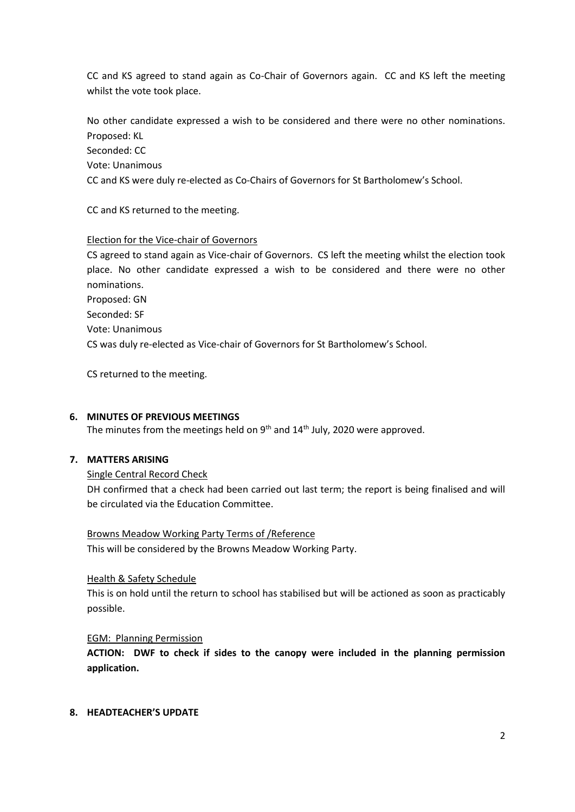CC and KS agreed to stand again as Co-Chair of Governors again. CC and KS left the meeting whilst the vote took place.

No other candidate expressed a wish to be considered and there were no other nominations. Proposed: KL

Seconded: CC

Vote: Unanimous

CC and KS were duly re-elected as Co-Chairs of Governors for St Bartholomew's School.

CC and KS returned to the meeting.

## Election for the Vice-chair of Governors

CS agreed to stand again as Vice-chair of Governors. CS left the meeting whilst the election took place. No other candidate expressed a wish to be considered and there were no other nominations. Proposed: GN Seconded: SF Vote: Unanimous CS was duly re-elected as Vice-chair of Governors for St Bartholomew's School.

CS returned to the meeting.

## **6. MINUTES OF PREVIOUS MEETINGS**

The minutes from the meetings held on  $9<sup>th</sup>$  and  $14<sup>th</sup>$  July, 2020 were approved.

# **7. MATTERS ARISING**

## Single Central Record Check

DH confirmed that a check had been carried out last term; the report is being finalised and will be circulated via the Education Committee.

## Browns Meadow Working Party Terms of /Reference

This will be considered by the Browns Meadow Working Party.

## Health & Safety Schedule

This is on hold until the return to school has stabilised but will be actioned as soon as practicably possible.

## EGM: Planning Permission

**ACTION: DWF to check if sides to the canopy were included in the planning permission application.**

### **8. HEADTEACHER'S UPDATE**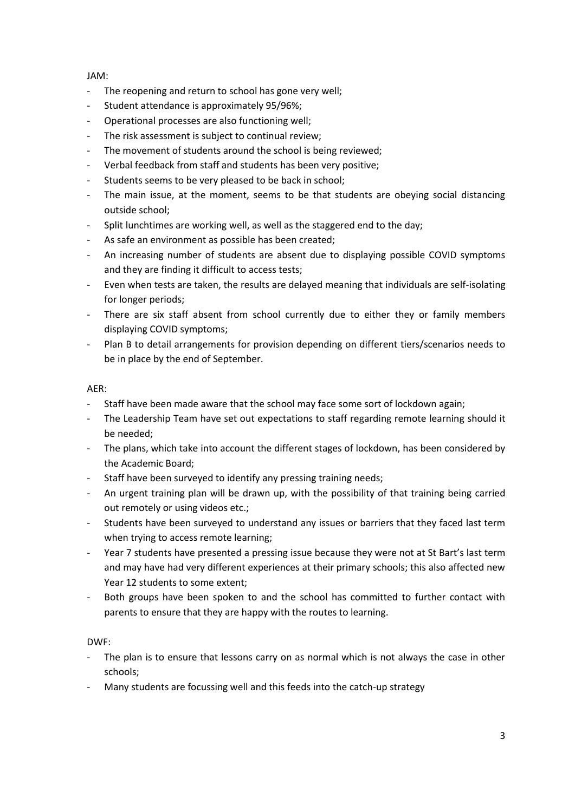## JAM:

- The reopening and return to school has gone very well;
- Student attendance is approximately 95/96%;
- Operational processes are also functioning well;
- The risk assessment is subject to continual review;
- The movement of students around the school is being reviewed;
- Verbal feedback from staff and students has been very positive;
- Students seems to be very pleased to be back in school;
- The main issue, at the moment, seems to be that students are obeying social distancing outside school;
- Split lunchtimes are working well, as well as the staggered end to the day;
- As safe an environment as possible has been created;
- An increasing number of students are absent due to displaying possible COVID symptoms and they are finding it difficult to access tests;
- Even when tests are taken, the results are delayed meaning that individuals are self-isolating for longer periods;
- There are six staff absent from school currently due to either they or family members displaying COVID symptoms;
- Plan B to detail arrangements for provision depending on different tiers/scenarios needs to be in place by the end of September.

### AER:

- Staff have been made aware that the school may face some sort of lockdown again;
- The Leadership Team have set out expectations to staff regarding remote learning should it be needed;
- The plans, which take into account the different stages of lockdown, has been considered by the Academic Board;
- Staff have been surveyed to identify any pressing training needs;
- An urgent training plan will be drawn up, with the possibility of that training being carried out remotely or using videos etc.;
- Students have been surveyed to understand any issues or barriers that they faced last term when trying to access remote learning;
- Year 7 students have presented a pressing issue because they were not at St Bart's last term and may have had very different experiences at their primary schools; this also affected new Year 12 students to some extent;
- Both groups have been spoken to and the school has committed to further contact with parents to ensure that they are happy with the routes to learning.

### DWF:

- The plan is to ensure that lessons carry on as normal which is not always the case in other schools;
- Many students are focussing well and this feeds into the catch-up strategy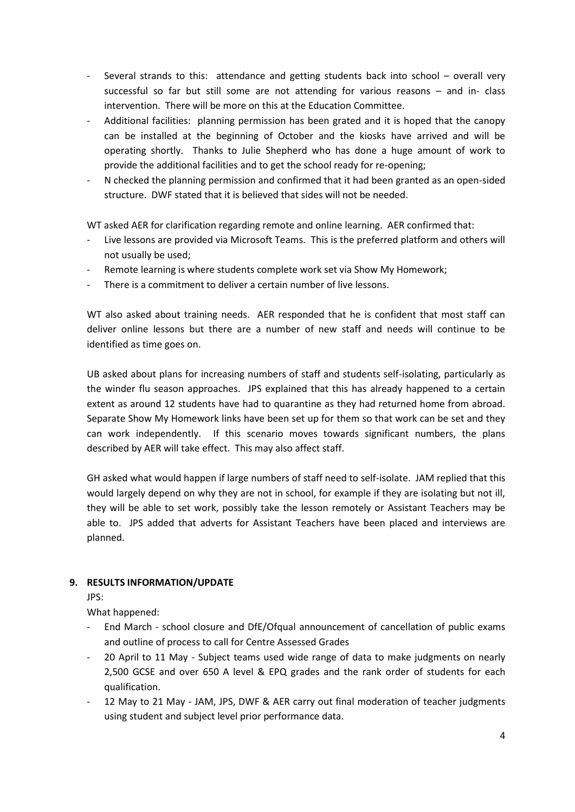- Several strands to this: attendance and getting students back into school overall very successful so far but still some are not attending for various reasons – and in- class intervention. There will be more on this at the Education Committee.
- Additional facilities: planning permission has been grated and it is hoped that the canopy can be installed at the beginning of October and the kiosks have arrived and will be operating shortly. Thanks to Julie Shepherd who has done a huge amount of work to provide the additional facilities and to get the school ready for re-opening;
- N checked the planning permission and confirmed that it had been granted as an open-sided structure. DWF stated that it is believed that sides will not be needed.

WT asked AER for clarification regarding remote and online learning. AER confirmed that:

- Live lessons are provided via Microsoft Teams. This is the preferred platform and others will not usually be used;
- Remote learning is where students complete work set via Show My Homework;
- There is a commitment to deliver a certain number of live lessons.

WT also asked about training needs. AER responded that he is confident that most staff can deliver online lessons but there are a number of new staff and needs will continue to be identified as time goes on.

UB asked about plans for increasing numbers of staff and students self-isolating, particularly as the winder flu season approaches. JPS explained that this has already happened to a certain extent as around 12 students have had to quarantine as they had returned home from abroad. Separate Show My Homework links have been set up for them so that work can be set and they can work independently. If this scenario moves towards significant numbers, the plans described by AER will take effect. This may also affect staff.

GH asked what would happen if large numbers of staff need to self-isolate. JAM replied that this would largely depend on why they are not in school, for example if they are isolating but not ill, they will be able to set work, possibly take the lesson remotely or Assistant Teachers may be able to. JPS added that adverts for Assistant Teachers have been placed and interviews are planned.

## **9. RESULTS INFORMATION/UPDATE**

JPS:

What happened:

- End March school closure and DfE/Ofqual announcement of cancellation of public exams and outline of process to call for Centre Assessed Grades
- 20 April to 11 May Subject teams used wide range of data to make judgments on nearly 2,500 GCSE and over 650 A level & EPQ grades and the rank order of students for each qualification.
- 12 May to 21 May JAM, JPS, DWF & AER carry out final moderation of teacher judgments using student and subject level prior performance data.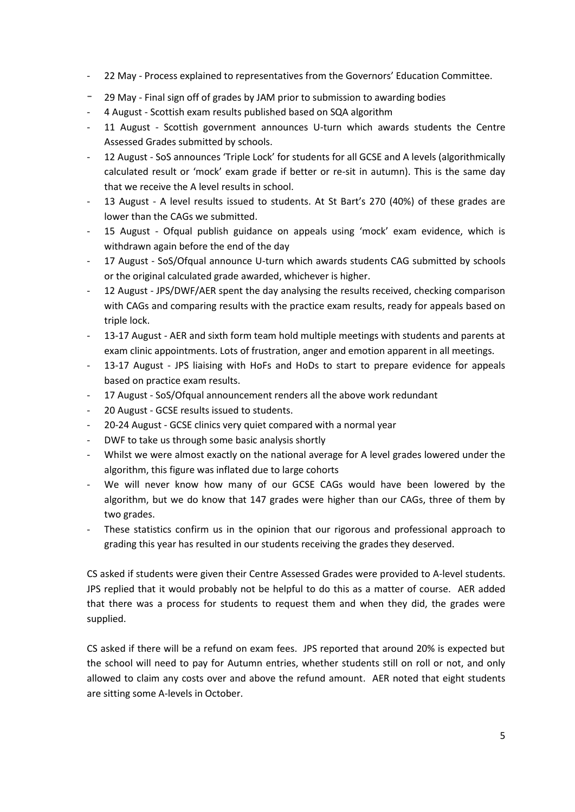- 22 May Process explained to representatives from the Governors' Education Committee.
- 29 May Final sign off of grades by JAM prior to submission to awarding bodies
- 4 August Scottish exam results published based on SQA algorithm
- 11 August Scottish government announces U-turn which awards students the Centre Assessed Grades submitted by schools.
- 12 August SoS announces 'Triple Lock' for students for all GCSE and A levels (algorithmically calculated result or 'mock' exam grade if better or re-sit in autumn). This is the same day that we receive the A level results in school.
- 13 August A level results issued to students. At St Bart's 270 (40%) of these grades are lower than the CAGs we submitted.
- 15 August Ofqual publish guidance on appeals using 'mock' exam evidence, which is withdrawn again before the end of the day
- 17 August SoS/Ofqual announce U-turn which awards students CAG submitted by schools or the original calculated grade awarded, whichever is higher.
- 12 August JPS/DWF/AER spent the day analysing the results received, checking comparison with CAGs and comparing results with the practice exam results, ready for appeals based on triple lock.
- 13-17 August AER and sixth form team hold multiple meetings with students and parents at exam clinic appointments. Lots of frustration, anger and emotion apparent in all meetings.
- 13-17 August JPS liaising with HoFs and HoDs to start to prepare evidence for appeals based on practice exam results.
- 17 August SoS/Ofqual announcement renders all the above work redundant
- 20 August GCSE results issued to students.
- 20-24 August GCSE clinics very quiet compared with a normal year
- DWF to take us through some basic analysis shortly
- Whilst we were almost exactly on the national average for A level grades lowered under the algorithm, this figure was inflated due to large cohorts
- We will never know how many of our GCSE CAGs would have been lowered by the algorithm, but we do know that 147 grades were higher than our CAGs, three of them by two grades.
- These statistics confirm us in the opinion that our rigorous and professional approach to grading this year has resulted in our students receiving the grades they deserved.

CS asked if students were given their Centre Assessed Grades were provided to A-level students. JPS replied that it would probably not be helpful to do this as a matter of course. AER added that there was a process for students to request them and when they did, the grades were supplied.

CS asked if there will be a refund on exam fees. JPS reported that around 20% is expected but the school will need to pay for Autumn entries, whether students still on roll or not, and only allowed to claim any costs over and above the refund amount. AER noted that eight students are sitting some A-levels in October.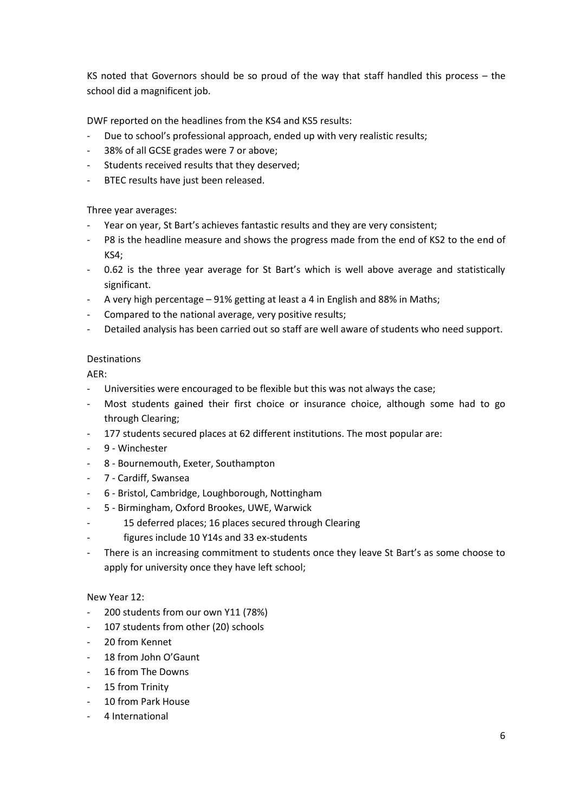KS noted that Governors should be so proud of the way that staff handled this process – the school did a magnificent job.

DWF reported on the headlines from the KS4 and KS5 results:

- Due to school's professional approach, ended up with very realistic results;
- 38% of all GCSE grades were 7 or above;
- Students received results that they deserved;
- BTEC results have just been released.

## Three year averages:

- Year on year, St Bart's achieves fantastic results and they are very consistent;
- P8 is the headline measure and shows the progress made from the end of KS2 to the end of KS4;
- 0.62 is the three year average for St Bart's which is well above average and statistically significant.
- A very high percentage 91% getting at least a 4 in English and 88% in Maths;
- Compared to the national average, very positive results;
- Detailed analysis has been carried out so staff are well aware of students who need support.

## Destinations

AER:

- Universities were encouraged to be flexible but this was not always the case;
- Most students gained their first choice or insurance choice, although some had to go through Clearing;
- 177 students secured places at 62 different institutions. The most popular are:
- 9 Winchester
- 8 Bournemouth, Exeter, Southampton
- 7 Cardiff, Swansea
- 6 Bristol, Cambridge, Loughborough, Nottingham
- 5 Birmingham, Oxford Brookes, UWE, Warwick
- 15 deferred places; 16 places secured through Clearing
- figures include 10 Y14s and 33 ex-students
- There is an increasing commitment to students once they leave St Bart's as some choose to apply for university once they have left school;

### New Year 12:

- 200 students from our own Y11 (78%)
- 107 students from other (20) schools
- 20 from Kennet
- 18 from John O'Gaunt
- 16 from The Downs
- 15 from Trinity
- 10 from Park House
- 4 International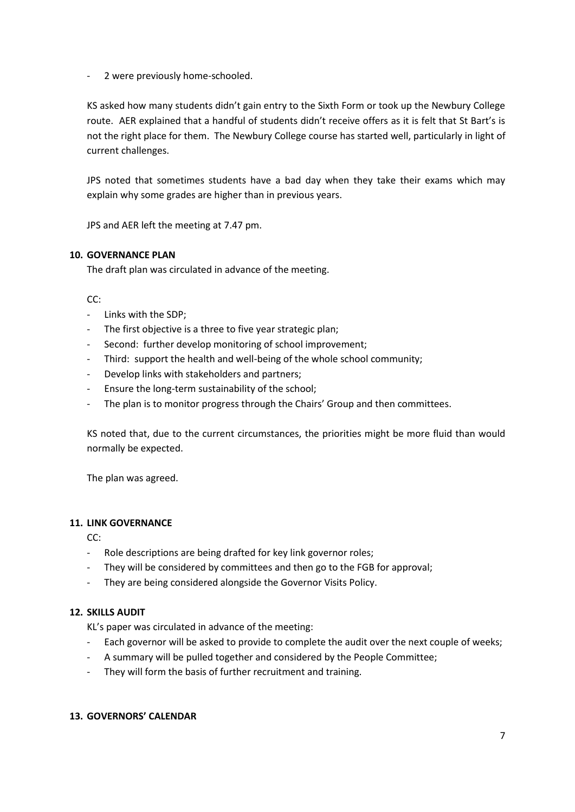- 2 were previously home-schooled.

KS asked how many students didn't gain entry to the Sixth Form or took up the Newbury College route. AER explained that a handful of students didn't receive offers as it is felt that St Bart's is not the right place for them. The Newbury College course has started well, particularly in light of current challenges.

JPS noted that sometimes students have a bad day when they take their exams which may explain why some grades are higher than in previous years.

JPS and AER left the meeting at 7.47 pm.

## **10. GOVERNANCE PLAN**

The draft plan was circulated in advance of the meeting.

CC:

- Links with the SDP;
- The first objective is a three to five year strategic plan;
- Second: further develop monitoring of school improvement;
- Third: support the health and well-being of the whole school community;
- Develop links with stakeholders and partners;
- Ensure the long-term sustainability of the school;
- The plan is to monitor progress through the Chairs' Group and then committees.

KS noted that, due to the current circumstances, the priorities might be more fluid than would normally be expected.

The plan was agreed.

## **11. LINK GOVERNANCE**

CC:

- Role descriptions are being drafted for key link governor roles;
- They will be considered by committees and then go to the FGB for approval;
- They are being considered alongside the Governor Visits Policy.

### **12. SKILLS AUDIT**

KL's paper was circulated in advance of the meeting:

- Each governor will be asked to provide to complete the audit over the next couple of weeks;
- A summary will be pulled together and considered by the People Committee;
- They will form the basis of further recruitment and training.

### **13. GOVERNORS' CALENDAR**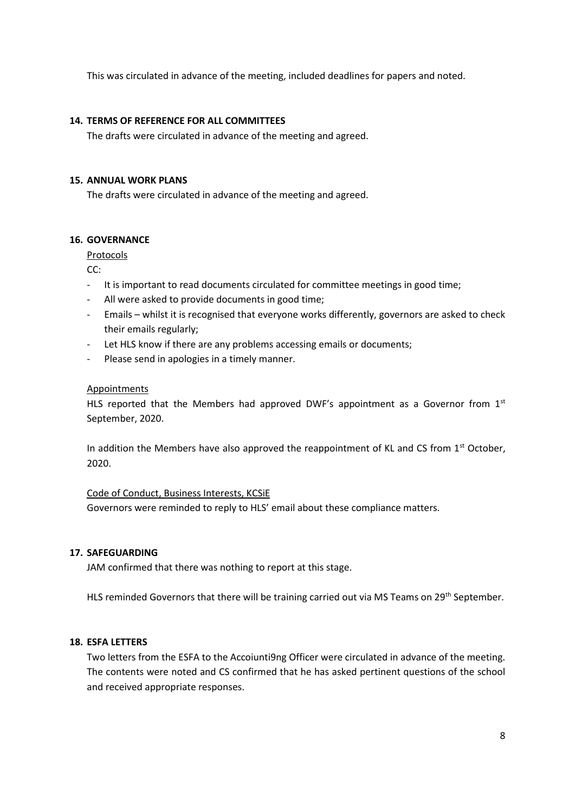This was circulated in advance of the meeting, included deadlines for papers and noted.

### **14. TERMS OF REFERENCE FOR ALL COMMITTEES**

The drafts were circulated in advance of the meeting and agreed.

### **15. ANNUAL WORK PLANS**

The drafts were circulated in advance of the meeting and agreed.

## **16. GOVERNANCE**

Protocols

CC:

- It is important to read documents circulated for committee meetings in good time;
- All were asked to provide documents in good time;
- Emails whilst it is recognised that everyone works differently, governors are asked to check their emails regularly;
- Let HLS know if there are any problems accessing emails or documents;
- Please send in apologies in a timely manner.

### Appointments

HLS reported that the Members had approved DWF's appointment as a Governor from  $1<sup>st</sup>$ September, 2020.

In addition the Members have also approved the reappointment of KL and CS from  $1<sup>st</sup>$  October, 2020.

Code of Conduct, Business Interests, KCSiE Governors were reminded to reply to HLS' email about these compliance matters.

### **17. SAFEGUARDING**

JAM confirmed that there was nothing to report at this stage.

HLS reminded Governors that there will be training carried out via MS Teams on 29th September.

### **18. ESFA LETTERS**

Two letters from the ESFA to the Accoiunti9ng Officer were circulated in advance of the meeting. The contents were noted and CS confirmed that he has asked pertinent questions of the school and received appropriate responses.